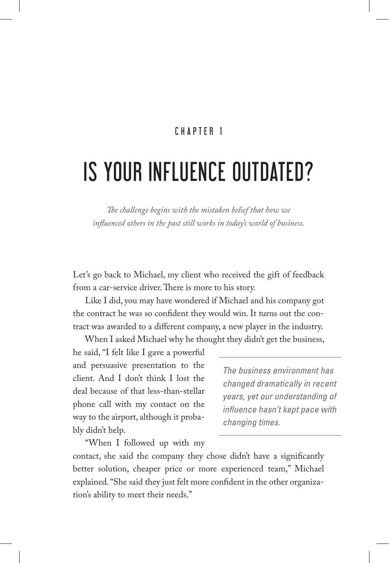## CHAPTER 1

# IS YOUR INFLUENCE OUTDATED?

*The challenge begins with the mistaken belief that how we influenced others in the past still works in today's world of business.*

Let's go back to Michael, my client who received the gift of feedback from a car-service driver. There is more to his story.

Like I did, you may have wondered if Michael and his company got the contract he was so confident they would win. It turns out the contract was awarded to a different company, a new player in the industry.

When I asked Michael why he thought they didn't get the business, he said, "I felt like I gave a powerful and persuasive presentation to the client. And I don't think I lost the deal because of that less-than-stellar phone call with my contact on the way to the airport, although it probably didn't help.

*The business environment has changed dramatically in recent years, yet our understanding of influence hasn't kept pace with changing times.*

"When I followed up with my

contact, she said the company they chose didn't have a significantly better solution, cheaper price or more experienced team," Michael explained. "She said they just felt more confident in the other organization's ability to meet their needs."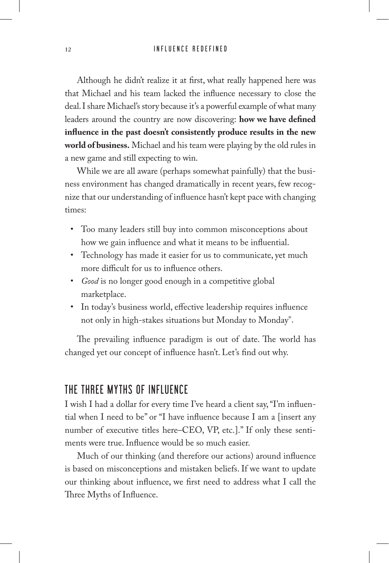Although he didn't realize it at first, what really happened here was that Michael and his team lacked the influence necessary to close the deal. I share Michael's story because it's a powerful example of what many leaders around the country are now discovering: **how we have defined influence in the past doesn't consistently produce results in the new world of business.** Michael and his team were playing by the old rules in a new game and still expecting to win.

While we are all aware (perhaps somewhat painfully) that the business environment has changed dramatically in recent years, few recognize that our understanding of influence hasn't kept pace with changing times:

- Too many leaders still buy into common misconceptions about how we gain influence and what it means to be influential.
- Technology has made it easier for us to communicate, yet much more difficult for us to influence others.
- *Good* is no longer good enough in a competitive global marketplace.
- In today's business world, effective leadership requires influence not only in high-stakes situations but Monday to Monday® .

The prevailing influence paradigm is out of date. The world has changed yet our concept of influence hasn't. Let's find out why.

## THE THREE MYTHS OF INFLUENCE

I wish I had a dollar for every time I've heard a client say, "I'm influential when I need to be" or "I have influence because I am a [insert any number of executive titles here–CEO, VP, etc.]." If only these sentiments were true. Influence would be so much easier.

Much of our thinking (and therefore our actions) around influence is based on misconceptions and mistaken beliefs. If we want to update our thinking about influence, we first need to address what I call the Three Myths of Influence.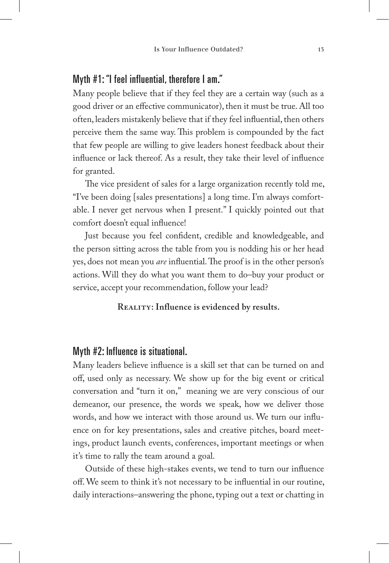## Myth #1: "I feel influential, therefore I am."

Many people believe that if they feel they are a certain way (such as a good driver or an effective communicator), then it must be true. All too often, leaders mistakenly believe that if they feel influential, then others perceive them the same way. This problem is compounded by the fact that few people are willing to give leaders honest feedback about their influence or lack thereof. As a result, they take their level of influence for granted.

The vice president of sales for a large organization recently told me, "I've been doing [sales presentations] a long time. I'm always comfortable. I never get nervous when I present." I quickly pointed out that comfort doesn't equal influence!

Just because you feel confident, credible and knowledgeable, and the person sitting across the table from you is nodding his or her head yes, does not mean you *are* influential. The proof is in the other person's actions. Will they do what you want them to do–buy your product or service, accept your recommendation, follow your lead?

#### REALITY: Influence is evidenced by results.

#### Myth #2: Influence is situational.

Many leaders believe influence is a skill set that can be turned on and off, used only as necessary. We show up for the big event or critical conversation and "turn it on," meaning we are very conscious of our demeanor, our presence, the words we speak, how we deliver those words, and how we interact with those around us. We turn our influence on for key presentations, sales and creative pitches, board meetings, product launch events, conferences, important meetings or when it's time to rally the team around a goal.

Outside of these high-stakes events, we tend to turn our influence off. We seem to think it's not necessary to be influential in our routine, daily interactions–answering the phone, typing out a text or chatting in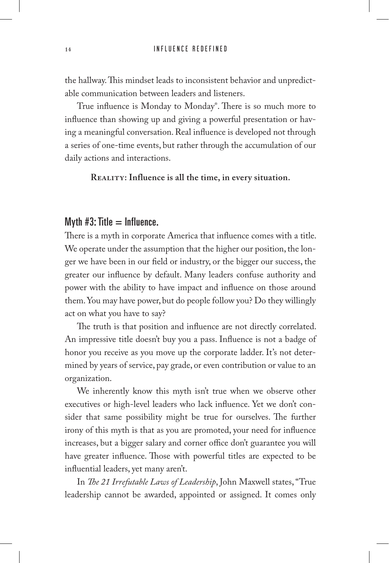the hallway. This mindset leads to inconsistent behavior and unpredictable communication between leaders and listeners.

True influence is Monday to Monday® . There is so much more to influence than showing up and giving a powerful presentation or having a meaningful conversation. Real influence is developed not through a series of one-time events, but rather through the accumulation of our daily actions and interactions.

**Reality: Influence is all the time, in every situation.**

## Myth  $#3$ : Title  $=$  Influence.

There is a myth in corporate America that influence comes with a title. We operate under the assumption that the higher our position, the longer we have been in our field or industry, or the bigger our success, the greater our influence by default. Many leaders confuse authority and power with the ability to have impact and influence on those around them. You may have power, but do people follow you? Do they willingly act on what you have to say?

The truth is that position and influence are not directly correlated. An impressive title doesn't buy you a pass. Influence is not a badge of honor you receive as you move up the corporate ladder. It's not determined by years of service, pay grade, or even contribution or value to an organization.

We inherently know this myth isn't true when we observe other executives or high-level leaders who lack influence. Yet we don't consider that same possibility might be true for ourselves. The further irony of this myth is that as you are promoted, your need for influence increases, but a bigger salary and corner office don't guarantee you will have greater influence. Those with powerful titles are expected to be influential leaders, yet many aren't.

In *The 21 Irrefutable Laws of Leadership*, John Maxwell states, "True leadership cannot be awarded, appointed or assigned. It comes only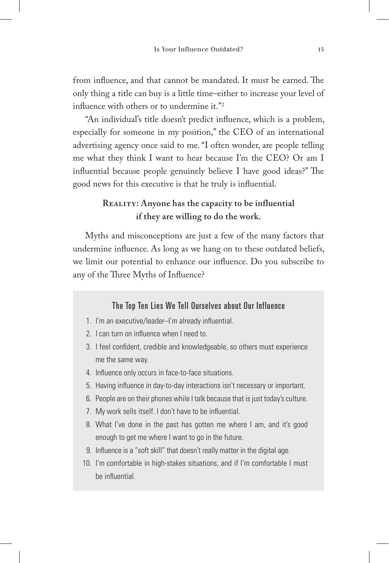from influence, and that cannot be mandated. It must be earned. The only thing a title can buy is a little time–either to increase your level of influence with others or to undermine it."2

"An individual's title doesn't predict influence, which is a problem, especially for someone in my position," the CEO of an international advertising agency once said to me. "I often wonder, are people telling me what they think I want to hear because I'm the CEO? Or am I influential because people genuinely believe I have good ideas?" The good news for this executive is that he truly is influential.

## **Reality: Anyone has the capacity to be influential if they are willing to do the work.**

Myths and misconceptions are just a few of the many factors that undermine influence. As long as we hang on to these outdated beliefs, we limit our potential to enhance our influence. Do you subscribe to any of the Three Myths of Influence?

#### The Top Ten Lies We Tell Ourselves about Our Influence

- 1. I'm an executive/leader–I'm already influential.
- 2. I can turn on influence when I need to.
- 3. I feel confident, credible and knowledgeable, so others must experience me the same way.
- 4. Influence only occurs in face-to-face situations.
- 5. Having influence in day-to-day interactions isn't necessary or important.
- 6. People are on their phones while I talk because that is just today's culture.
- 7. My work sells itself. I don't have to be influential.
- 8. What I've done in the past has gotten me where I am, and it's good enough to get me where I want to go in the future.
- 9. Influence is a "soft skill" that doesn't really matter in the digital age.
- 10. I'm comfortable in high-stakes situations, and if I'm comfortable I must be influential.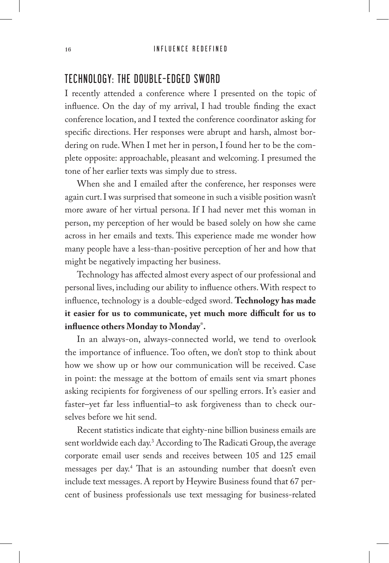## TECHNOLOGY: THE DOUBLE-EDGED SWORD

I recently attended a conference where I presented on the topic of influence. On the day of my arrival, I had trouble finding the exact conference location, and I texted the conference coordinator asking for specific directions. Her responses were abrupt and harsh, almost bordering on rude. When I met her in person, I found her to be the complete opposite: approachable, pleasant and welcoming. I presumed the tone of her earlier texts was simply due to stress.

When she and I emailed after the conference, her responses were again curt. I was surprised that someone in such a visible position wasn't more aware of her virtual persona. If I had never met this woman in person, my perception of her would be based solely on how she came across in her emails and texts. This experience made me wonder how many people have a less-than-positive perception of her and how that might be negatively impacting her business.

Technology has affected almost every aspect of our professional and personal lives, including our ability to influence others. With respect to influence, technology is a double-edged sword. **Technology has made it easier for us to communicate, yet much more difficult for us to influence others Monday to Monday**® **.**

In an always-on, always-connected world, we tend to overlook the importance of influence. Too often, we don't stop to think about how we show up or how our communication will be received. Case in point: the message at the bottom of emails sent via smart phones asking recipients for forgiveness of our spelling errors. It's easier and faster–yet far less influential–to ask forgiveness than to check ourselves before we hit send.

Recent statistics indicate that eighty-nine billion business emails are sent worldwide each day.3 According to The Radicati Group, the average corporate email user sends and receives between 105 and 125 email messages per day.4 That is an astounding number that doesn't even include text messages. A report by Heywire Business found that 67 percent of business professionals use text messaging for business-related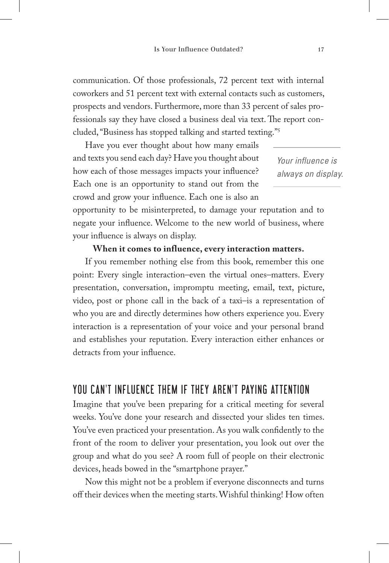communication. Of those professionals, 72 percent text with internal coworkers and 51 percent text with external contacts such as customers, prospects and vendors. Furthermore, more than 33 percent of sales professionals say they have closed a business deal via text. The report concluded, "Business has stopped talking and started texting."5

Have you ever thought about how many emails and texts you send each day? Have you thought about how each of those messages impacts your influence? Each one is an opportunity to stand out from the crowd and grow your influence. Each one is also an

*Your influence is always on display.*

opportunity to be misinterpreted, to damage your reputation and to negate your influence. Welcome to the new world of business, where your influence is always on display.

#### **When it comes to influence, every interaction matters.**

If you remember nothing else from this book, remember this one point: Every single interaction–even the virtual ones–matters. Every presentation, conversation, impromptu meeting, email, text, picture, video, post or phone call in the back of a taxi–is a representation of who you are and directly determines how others experience you. Every interaction is a representation of your voice and your personal brand and establishes your reputation. Every interaction either enhances or detracts from your influence.

## YOU CAN'T INFLUENCE THEM IF THEY AREN'T PAYING ATTENTION

Imagine that you've been preparing for a critical meeting for several weeks. You've done your research and dissected your slides ten times. You've even practiced your presentation. As you walk confidently to the front of the room to deliver your presentation, you look out over the group and what do you see? A room full of people on their electronic devices, heads bowed in the "smartphone prayer."

Now this might not be a problem if everyone disconnects and turns off their devices when the meeting starts. Wishful thinking! How often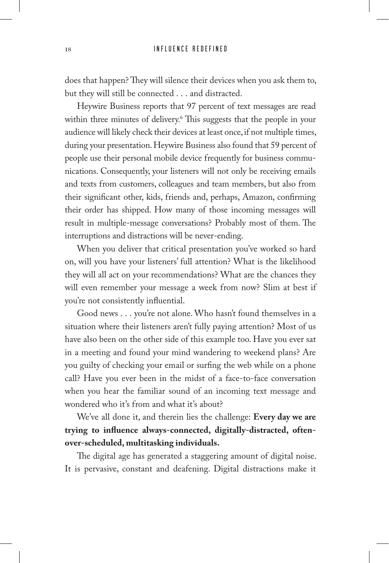does that happen? They will silence their devices when you ask them to, but they will still be connected . . . and distracted.

Heywire Business reports that 97 percent of text messages are read within three minutes of delivery.6 This suggests that the people in your audience will likely check their devices at least once, if not multiple times, during your presentation. Heywire Business also found that 59 percent of people use their personal mobile device frequently for business communications. Consequently, your listeners will not only be receiving emails and texts from customers, colleagues and team members, but also from their significant other, kids, friends and, perhaps, Amazon, confirming their order has shipped. How many of those incoming messages will result in multiple-message conversations? Probably most of them. The interruptions and distractions will be never-ending.

When you deliver that critical presentation you've worked so hard on, will you have your listeners' full attention? What is the likelihood they will all act on your recommendations? What are the chances they will even remember your message a week from now? Slim at best if you're not consistently influential.

Good news . . . you're not alone. Who hasn't found themselves in a situation where their listeners aren't fully paying attention? Most of us have also been on the other side of this example too. Have you ever sat in a meeting and found your mind wandering to weekend plans? Are you guilty of checking your email or surfing the web while on a phone call? Have you ever been in the midst of a face-to-face conversation when you hear the familiar sound of an incoming text message and wondered who it's from and what it's about?

We've all done it, and therein lies the challenge: **Every day we are trying to influence always-connected, digitally-distracted, oftenover-scheduled, multitasking individuals.**

The digital age has generated a staggering amount of digital noise. It is pervasive, constant and deafening. Digital distractions make it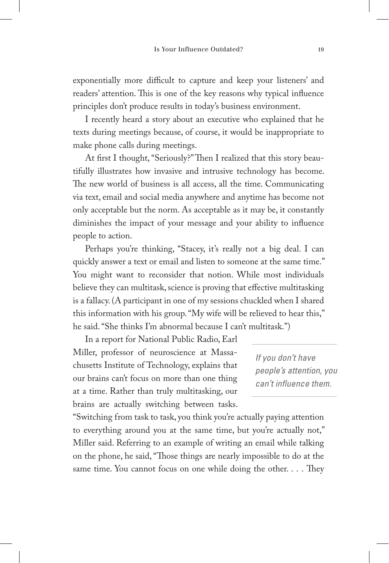exponentially more difficult to capture and keep your listeners' and readers' attention. This is one of the key reasons why typical influence principles don't produce results in today's business environment.

I recently heard a story about an executive who explained that he texts during meetings because, of course, it would be inappropriate to make phone calls during meetings.

At first I thought, "Seriously?" Then I realized that this story beautifully illustrates how invasive and intrusive technology has become. The new world of business is all access, all the time. Communicating via text, email and social media anywhere and anytime has become not only acceptable but the norm. As acceptable as it may be, it constantly diminishes the impact of your message and your ability to influence people to action.

Perhaps you're thinking, "Stacey, it's really not a big deal. I can quickly answer a text or email and listen to someone at the same time." You might want to reconsider that notion. While most individuals believe they can multitask, science is proving that effective multitasking is a fallacy. (A participant in one of my sessions chuckled when I shared this information with his group. "My wife will be relieved to hear this," he said. "She thinks I'm abnormal because I can't multitask.")

In a report for National Public Radio, Earl Miller, professor of neuroscience at Massachusetts Institute of Technology, explains that our brains can't focus on more than one thing at a time. Rather than truly multitasking, our brains are actually switching between tasks.

*If you don't have people's attention, you can't influence them.*

"Switching from task to task, you think you're actually paying attention to everything around you at the same time, but you're actually not," Miller said. Referring to an example of writing an email while talking on the phone, he said, "Those things are nearly impossible to do at the same time. You cannot focus on one while doing the other. . . . They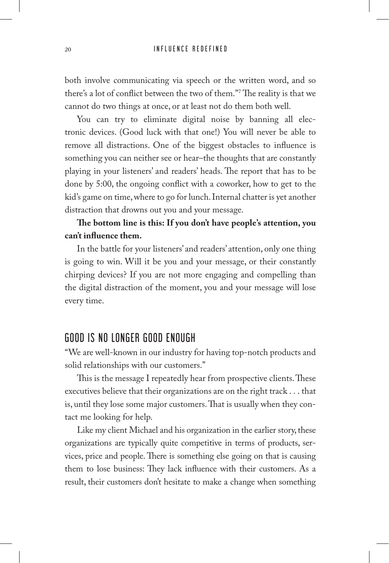both involve communicating via speech or the written word, and so there's a lot of conflict between the two of them."7 The reality is that we cannot do two things at once, or at least not do them both well.

You can try to eliminate digital noise by banning all electronic devices. (Good luck with that one!) You will never be able to remove all distractions. One of the biggest obstacles to influence is something you can neither see or hear–the thoughts that are constantly playing in your listeners' and readers' heads. The report that has to be done by 5:00, the ongoing conflict with a coworker, how to get to the kid's game on time, where to go for lunch. Internal chatter is yet another distraction that drowns out you and your message.

## **The bottom line is this: If you don't have people's attention, you can't influence them.**

In the battle for your listeners' and readers' attention, only one thing is going to win. Will it be you and your message, or their constantly chirping devices? If you are not more engaging and compelling than the digital distraction of the moment, you and your message will lose every time.

## GOOD IS NO LONGER GOOD ENOUGH

"We are well-known in our industry for having top-notch products and solid relationships with our customers."

This is the message I repeatedly hear from prospective clients. These executives believe that their organizations are on the right track . . . that is, until they lose some major customers. That is usually when they contact me looking for help.

Like my client Michael and his organization in the earlier story, these organizations are typically quite competitive in terms of products, services, price and people. There is something else going on that is causing them to lose business: They lack influence with their customers. As a result, their customers don't hesitate to make a change when something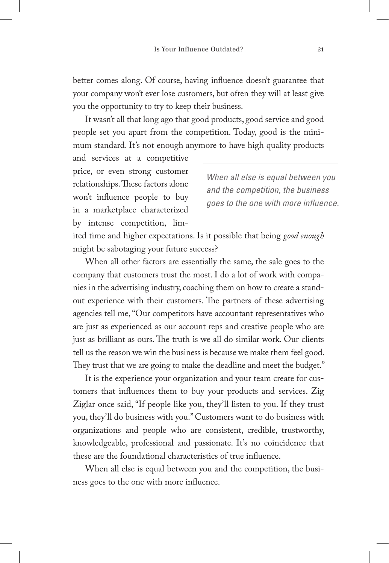better comes along. Of course, having influence doesn't guarantee that your company won't ever lose customers, but often they will at least give you the opportunity to try to keep their business.

It wasn't all that long ago that good products, good service and good people set you apart from the competition. Today, good is the minimum standard. It's not enough anymore to have high quality products

and services at a competitive price, or even strong customer relationships. These factors alone won't influence people to buy in a marketplace characterized by intense competition, lim-

*When all else is equal between you and the competition, the business goes to the one with more influence.*

ited time and higher expectations. Is it possible that being *good enough*  might be sabotaging your future success?

When all other factors are essentially the same, the sale goes to the company that customers trust the most. I do a lot of work with companies in the advertising industry, coaching them on how to create a standout experience with their customers. The partners of these advertising agencies tell me, "Our competitors have accountant representatives who are just as experienced as our account reps and creative people who are just as brilliant as ours. The truth is we all do similar work. Our clients tell us the reason we win the business is because we make them feel good. They trust that we are going to make the deadline and meet the budget."

It is the experience your organization and your team create for customers that influences them to buy your products and services. Zig Ziglar once said, "If people like you, they'll listen to you. If they trust you, they'll do business with you." Customers want to do business with organizations and people who are consistent, credible, trustworthy, knowledgeable, professional and passionate. It's no coincidence that these are the foundational characteristics of true influence.

When all else is equal between you and the competition, the business goes to the one with more influence.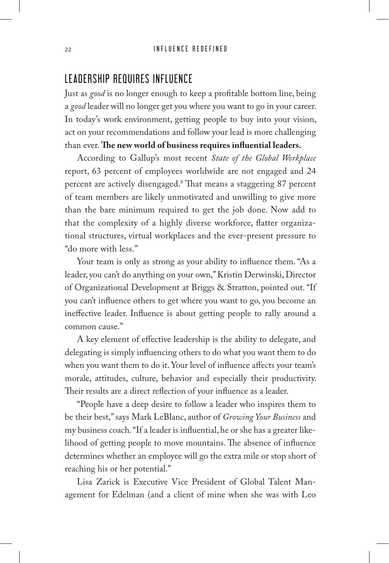## LEADERSHIP REQUIRES INFLUENCE

Just as *good* is no longer enough to keep a profitable bottom line, being a *good* leader will no longer get you where you want to go in your career. In today's work environment, getting people to buy into your vision, act on your recommendations and follow your lead is more challenging than ever. **The new world of business requires influential leaders.**

According to Gallup's most recent *State of the Global Workplace* report, 63 percent of employees worldwide are not engaged and 24 percent are actively disengaged.<sup>8</sup> That means a staggering 87 percent of team members are likely unmotivated and unwilling to give more than the bare minimum required to get the job done. Now add to that the complexity of a highly diverse workforce, flatter organizational structures, virtual workplaces and the ever-present pressure to "do more with less."

Your team is only as strong as your ability to influence them. "As a leader, you can't do anything on your own," Kristin Derwinski, Director of Organizational Development at Briggs & Stratton, pointed out. "If you can't influence others to get where you want to go, you become an ineffective leader. Influence is about getting people to rally around a common cause."

A key element of effective leadership is the ability to delegate, and delegating is simply influencing others to do what you want them to do when you want them to do it. Your level of influence affects your team's morale, attitudes, culture, behavior and especially their productivity. Their results are a direct reflection of your influence as a leader.

"People have a deep desire to follow a leader who inspires them to be their best," says Mark LeBlanc, author of *Growing Your Business* and my business coach. "If a leader is influential, he or she has a greater likelihood of getting people to move mountains. The absence of influence determines whether an employee will go the extra mile or stop short of reaching his or her potential."

Lisa Zarick is Executive Vice President of Global Talent Management for Edelman (and a client of mine when she was with Leo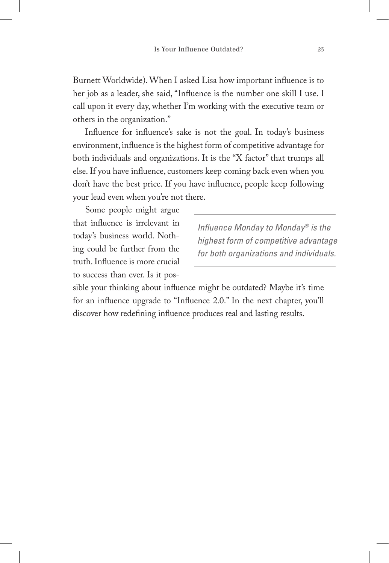Burnett Worldwide). When I asked Lisa how important influence is to her job as a leader, she said, "Influence is the number one skill I use. I call upon it every day, whether I'm working with the executive team or others in the organization."

Influence for influence's sake is not the goal. In today's business environment, influence is the highest form of competitive advantage for both individuals and organizations. It is the "X factor" that trumps all else. If you have influence, customers keep coming back even when you don't have the best price. If you have influence, people keep following your lead even when you're not there.

Some people might argue that influence is irrelevant in today's business world. Nothing could be further from the truth. Influence is more crucial to success than ever. Is it pos-

*Influence Monday to Monday® is the highest form of competitive advantage for both organizations and individuals.*

sible your thinking about influence might be outdated? Maybe it's time for an influence upgrade to "Influence 2.0." In the next chapter, you'll discover how redefining influence produces real and lasting results.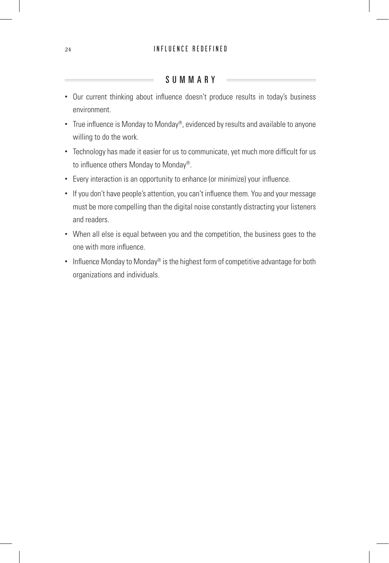### SUMMARY

- Our current thinking about influence doesn't produce results in today's business environment.
- True influence is Monday to Monday®, evidenced by results and available to anyone willing to do the work.
- Technology has made it easier for us to communicate, yet much more difficult for us to influence others Monday to Monday®.
- Every interaction is an opportunity to enhance (or minimize) your influence.
- If you don't have people's attention, you can't influence them. You and your message must be more compelling than the digital noise constantly distracting your listeners and readers.
- When all else is equal between you and the competition, the business goes to the one with more influence.
- Influence Monday to Monday® is the highest form of competitive advantage for both organizations and individuals.